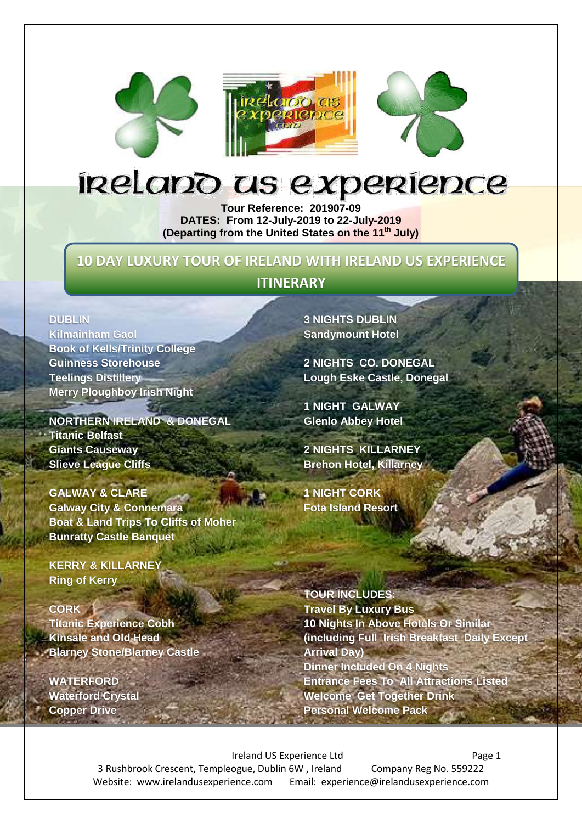





# inelano us expenience

**Tour Reference: 201907-09 DATES: From 12-July-2019 to 22-July-2019 (Departing from the United States on the 11 th July)**

## **10 DAY LUXURY TOUR OF IRELAND WITH IRELAND US EXPERIENCE**

## **ITINERARY**

#### **DUBLIN**

**Kilmainham Gaol Book of Kells/Trinity College Guinness Storehouse Teelings Distillery Merry Ploughboy Irish Night**

**NORTHERN IRELAND & DONEGAL Titanic Belfast Giants Causeway Slieve League Cliffs**

**GALWAY & CLARE Galway City & Connemara Boat & Land Trips To Cliffs of Moher Bunratty Castle Banquet**

**KERRY & KILLARNEY Ring of Kerry**

#### **CORK**

**Titanic Experience Cobh Kinsale and Old Head Blarney Stone/Blarney Castle**

**WATERFORD Waterford Crystal Copper Drive**

**3 NIGHTS DUBLIN Sandymount Hotel**

**2 NIGHTS CO. DONEGAL Lough Eske Castle, Donegal**

**1 NIGHT GALWAY Glenlo Abbey Hotel**

**2 NIGHTS KILLARNEY Brehon Hotel, Killarney**

**1 NIGHT CORK Fota Island Resort**

**TOUR INCLUDES: Travel By Luxury Bus 10 Nights In Above Hotels Or Similar (including Full Irish Breakfast Daily Except Arrival Day) Dinner Included On 4 Nights Entrance Fees To All Attractions Listed Welcome Get Together Drink Personal Welcome Pack**

Ireland US Experience Ltd Page 1 3 Rushbrook Crescent, Templeogue, Dublin 6W , Ireland Company Reg No. 559222 Website: www.irelandusexperience.com Email: experience@irelandusexperience.com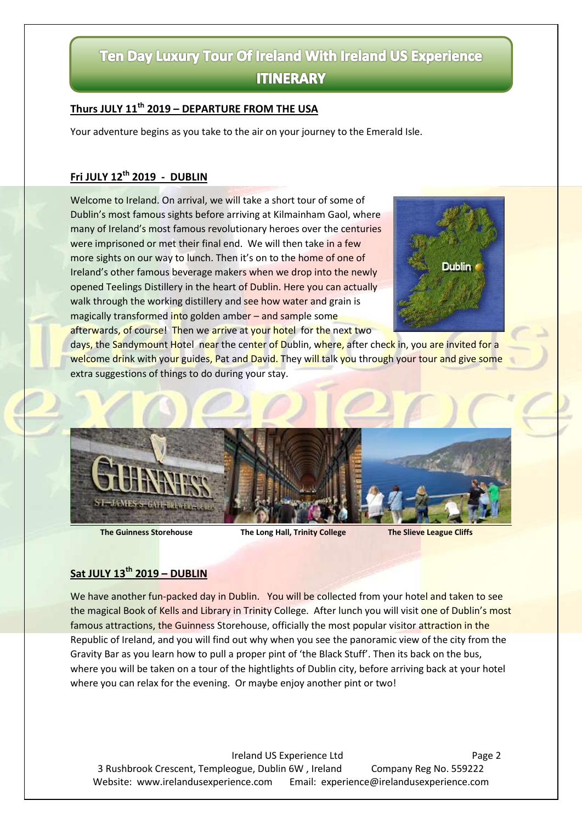# Ten Day Luxury Tour Of Ireland With Ireland US Experience **ITINERARY**

#### **Thurs JULY 11 th 2019 – DEPARTURE FROM THE USA**

Your adventure begins as you take to the air on your journey to the Emerald Isle.

#### **Fri JULY 12 th 2019 - DUBLIN**

Welcome to Ireland. On arrival, we will take a short tour of some of Dublin's most famous sights before arriving at Kilmainham Gaol, where many of Ireland's most famous revolutionary heroes over the centuries were imprisoned or met their final end. We will then take in a few more sights on our way to lunch. Then it's on to the home of one of Ireland's other famous beverage makers when we drop into the newly opened Teelings Distillery in the heart of Dublin. Here you can actually walk through the working distillery and see how water and grain is magically transformed into golden amber – and sample some afterwards, of course! Then we arrive at your hotel for the next two



days, the Sandymount Hotel near the center of Dublin, where, after check in, you are invited for a welcome drink with your guides, Pat and David. They will talk you through your tour and give some extra suggestions of things to do during your stay.



**The Guinness Storehouse The Long Hall, Trinity College The Slieve League Cliffs** 

#### **Sat JULY 13 th 2019 – DUBLIN**

We have another fun-packed day in Dublin. You will be collected from your hotel and taken to see the magical Book of Kells and Library in Trinity College. After lunch you will visit one of Dublin's most famous attractions, the Guinness Storehouse, officially the most popular visitor attraction in the Republic of Ireland, and you will find out why when you see the panoramic view of the city from the Gravity Bar as you learn how to pull a proper pint of 'the Black Stuff'. Then its back on the bus, where you will be taken on a tour of the hightlights of Dublin city, before arriving back at your hotel where you can relax for the evening. Or maybe enjoy another pint or two!

Ireland US Experience Ltd Page 2 3 Rushbrook Crescent, Templeogue, Dublin 6W , Ireland Company Reg No. 559222 Website: www.irelandusexperience.com Email: experience@irelandusexperience.com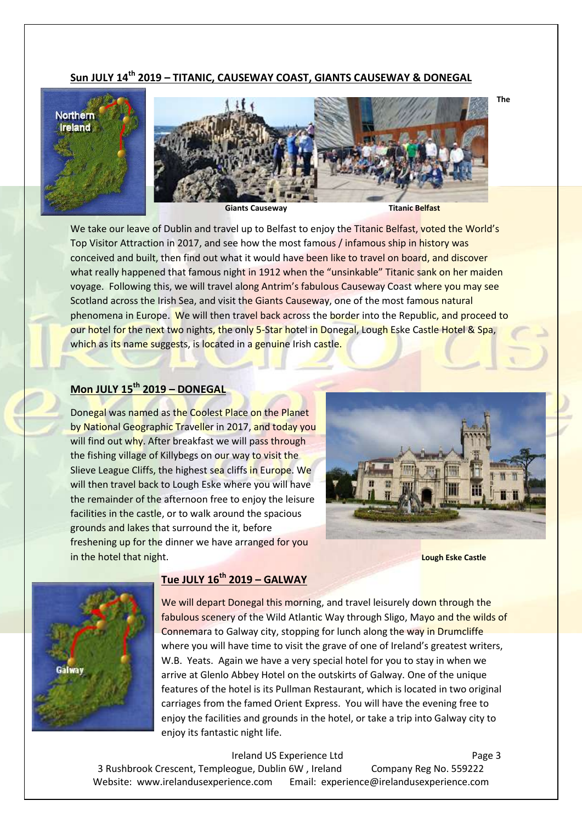#### **Sun JULY 14 th 2019 – TITANIC, CAUSEWAY COAST, GIANTS CAUSEWAY & DONEGAL**



We take our leave of Dublin and travel up to Belfast to enjoy the Titanic Belfast, voted the World's Top Visitor Attraction in 2017, and see how the most famous / infamous ship in history was conceived and built, then find out what it would have been like to travel on board, and discover what really happened that famous night in 1912 when the "unsinkable" Titanic sank on her maiden voyage. Following this, we will travel along Antrim's fabulous Causeway Coast where you may see Scotland across the Irish Sea, and visit the Giants Causeway, one of the most famous natural phenomena in Europe. We will then travel back across the border into the Republic, and proceed to our hotel for the next two nights, the only 5-Star hotel in Donegal, Lough Eske Castle Hotel & Spa, which as its name suggests, is located in a genuine Irish castle.

#### **Mon JULY 15 th 2019 – DONEGAL**

Donegal was named as the Coolest Place on the Planet by National Geographic Traveller in 2017, and today you will find out why. After breakfast we will pass through the fishing village of Killybegs on our way to visit the Slieve League Cliffs, the highest sea cliffs in Europe. We will then travel back to Lough Eske where you will have the remainder of the afternoon free to enjoy the leisure facilities in the castle, or to walk around the spacious grounds and lakes that surround the it, before freshening up for the dinner we have arranged for you in the hotel that night. **Lough Eske Castle**





#### **Tue JULY 16 th 2019 – GALWAY**

We will depart Donegal this morning, and travel leisurely down through the fabulous scenery of the Wild Atlantic Way through Sligo, Mayo and the wilds of Connemara to Galway city, stopping for lunch along the way in Drumcliffe where you will have time to visit the grave of one of Ireland's greatest writers, W.B. Yeats. Again we have a very special hotel for you to stay in when we arrive at Glenlo Abbey Hotel on the outskirts of Galway. One of the unique features of the hotel is its Pullman Restaurant, which is located in two original carriages from the famed Orient Express. You will have the evening free to enjoy the facilities and grounds in the hotel, or take a trip into Galway city to enjoy its fantastic night life.

Ireland US Experience Ltd Page 3 3 Rushbrook Crescent, Templeogue, Dublin 6W , Ireland Company Reg No. 559222 Website: www.irelandusexperience.com Email: experience@irelandusexperience.com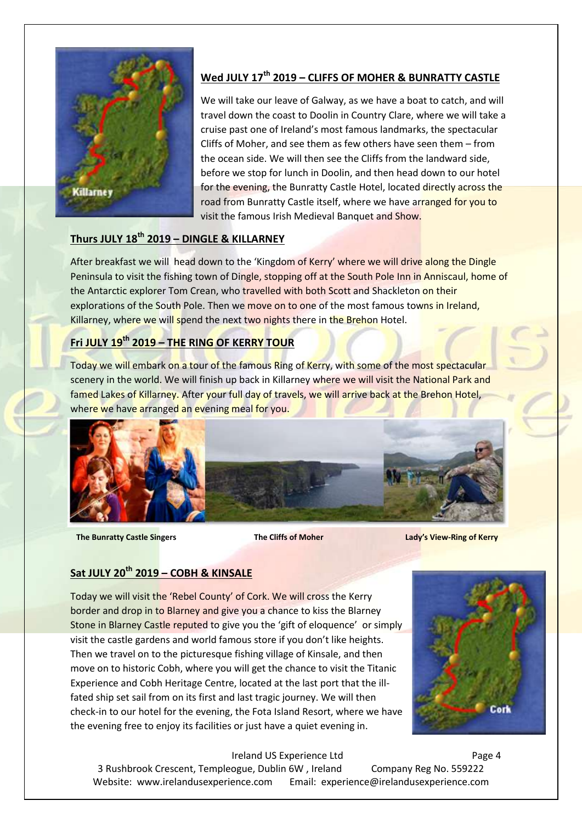

#### **Wed JULY 17 th 2019 – CLIFFS OF MOHER & BUNRATTY CASTLE**

We will take our leave of Galway, as we have a boat to catch, and will travel down the coast to Doolin in Country Clare, where we will take a cruise past one of Ireland's most famous landmarks, the spectacular Cliffs of Moher, and see them as few others have seen them – from the ocean side. We will then see the Cliffs from the landward side, before we stop for lunch in Doolin, and then head down to our hotel for the evening, the Bunratty Castle Hotel, located directly across the road from Bunratty Castle itself, where we have arranged for you to visit the famous Irish Medieval Banquet and Show.

#### **Thurs JULY 18th 2019 – DINGLE & KILLARNEY**

After breakfast we will head down to the 'Kingdom of Kerry' where we will drive along the Dingle Peninsula to visit the fishing town of Dingle, stopping off at the South Pole Inn in Anniscaul, home of the Antarctic explorer Tom Crean, who travelled with both Scott and Shackleton on their explorations of the South Pole. Then we move on to one of the most famous towns in Ireland, Killarney, where we will spend the next two nights there in the Brehon Hotel.

#### **Fri JULY 19th 2019 – THE RING OF KERRY TOUR**

Today we will embark on a tour of the famous Ring of Kerry, with some of the most spectacular scenery in the world. We will finish up back in Killarney where we will visit the National Park and famed Lakes of Killarney. After your full day of travels, we will arrive back at the Brehon Hotel, where we have arranged an evening meal for you.



 **The Bunratty Castle Singers The Cliffs of Moher Lady's View-Ring of Kerry**

#### **Sat JULY 20th 2019 – COBH & KINSALE**

Today we will visit the 'Rebel County' of Cork. We will cross the Kerry border and drop in to Blarney and give you a chance to kiss the Blarney Stone in Blarney Castle reputed to give you the 'gift of eloquence' or simply visit the castle gardens and world famous store if you don't like heights. Then we travel on to the picturesque fishing village of Kinsale, and then move on to historic Cobh, where you will get the chance to visit the Titanic Experience and Cobh Heritage Centre, located at the last port that the illfated ship set sail from on its first and last tragic journey. We will then check-in to our hotel for the evening, the Fota Island Resort, where we have the evening free to enjoy its facilities or just have a quiet evening in.



Ireland US Experience Ltd Page 4 3 Rushbrook Crescent, Templeogue, Dublin 6W , Ireland Company Reg No. 559222 Website: www.irelandusexperience.com Email: experience@irelandusexperience.com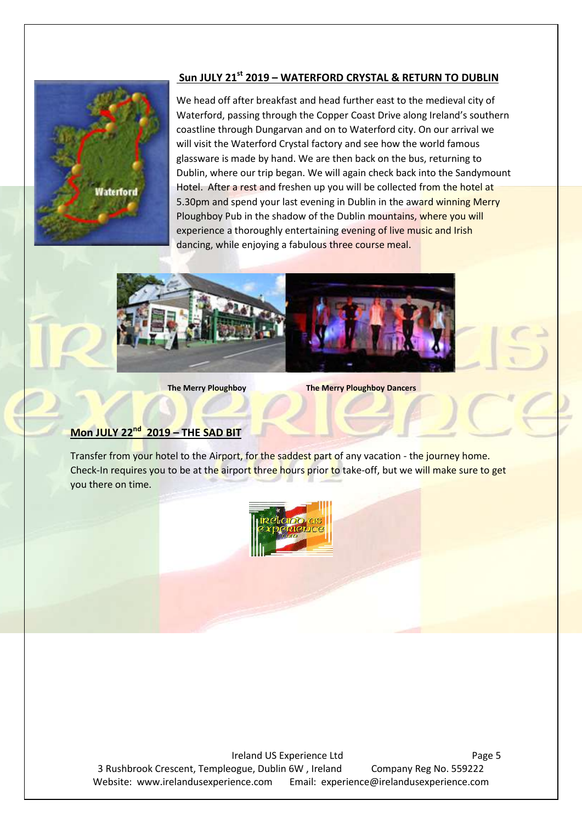#### **Sun JULY 21st 2019 – WATERFORD CRYSTAL & RETURN TO DUBLIN**



We head off after breakfast and head further east to the medieval city of Waterford, passing through the Copper Coast Drive along Ireland's southern coastline through Dungarvan and on to Waterford city. On our arrival we will visit the Waterford Crystal factory and see how the world famous glassware is made by hand. We are then back on the bus, returning to Dublin, where our trip began. We will again check back into the Sandymount Hotel. After a rest and freshen up you will be collected from the hotel at 5.30pm and spend your last evening in Dublin in the award winning Merry Ploughboy Pub in the shadow of the Dublin mountains, where you will experience a thoroughly entertaining evening of live music and Irish dancing, while enjoying a fabulous three course meal.



**The Merry Ploughboy The Merry Ploughboy Dancers**

#### **Mon JULY 22 nd 2019 – THE SAD BIT**

Transfer from your hotel to the Airport, for the saddest part of any vacation - the journey home. Check-In requires you to be at the airport three hours prior to take-off, but we will make sure to get you there on time.



Ireland US Experience Ltd Page 5 3 Rushbrook Crescent, Templeogue, Dublin 6W , Ireland Company Reg No. 559222 Website: www.irelandusexperience.com Email: experience@irelandusexperience.com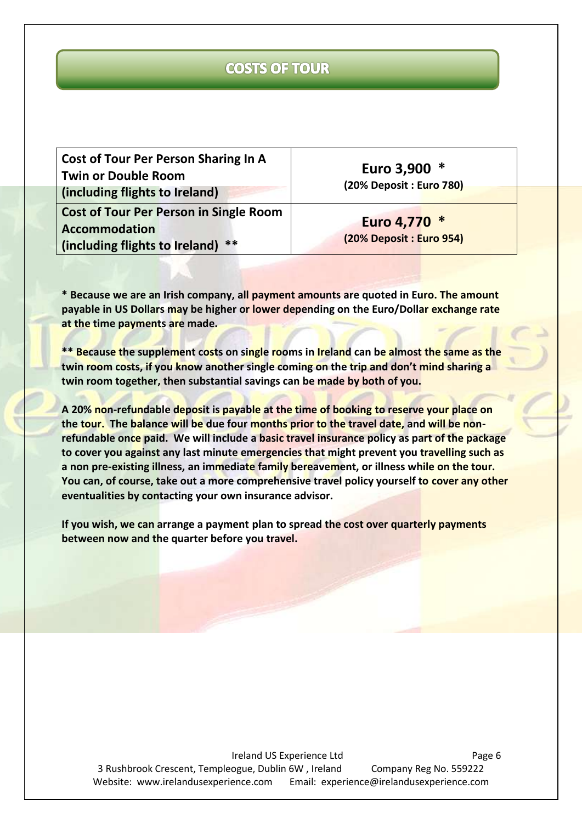# **COSTS OF TOUR**

| <b>Cost of Tour Per Person Sharing In A</b>   |
|-----------------------------------------------|
| <b>Twin or Double Room</b>                    |
| (including flights to Ireland)                |
| <b>Cost of Tour Per Person in Single Room</b> |
| <b>Accommodation</b>                          |
| **<br>(including flights to Ireland)          |

**Euro 3,900 \* (20% Deposit : Euro 780)**

**Euro 4,770 \* (20% Deposit : Euro 954)**

**\* Because we are an Irish company, all payment amounts are quoted in Euro. The amount payable in US Dollars may be higher or lower depending on the Euro/Dollar exchange rate at the time payments are made.**

**\*\* Because the supplement costs on single rooms in Ireland can be almost the same as the twin room costs, if you know another single coming on the trip and don't mind sharing a twin room together, then substantial savings can be made by both of you.**

**A 20% non-refundable deposit is payable at the time of booking to reserve your place on the tour. The balance will be due four months prior to the travel date, and will be nonrefundable once paid. We will include a basic travel insurance policy as part of the package to cover you against any last minute emergencies that might prevent you travelling such as a non pre-existing illness, an immediate family bereavement, or illness while on the tour. You can, of course, take out a more comprehensive travel policy yourself to cover any other eventualities by contacting your own insurance advisor.**

**If you wish, we can arrange a payment plan to spread the cost over quarterly payments between now and the quarter before you travel.**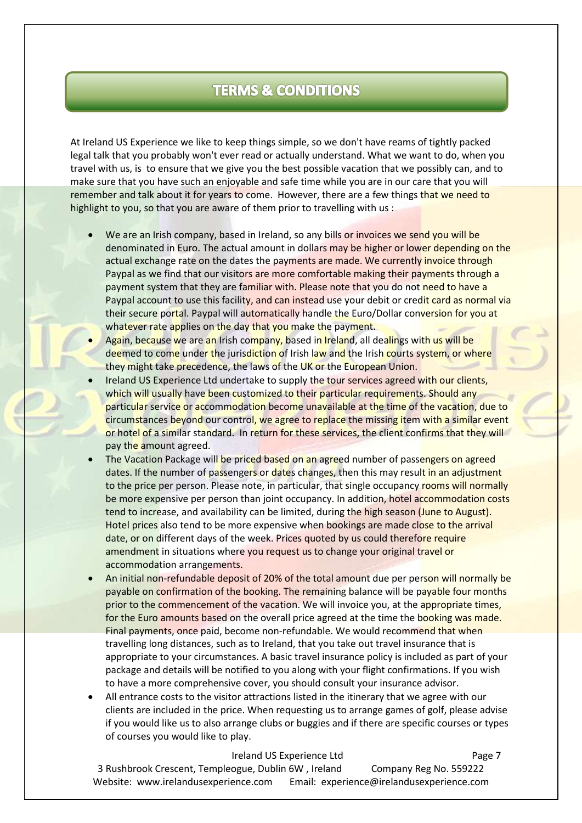# **TERMS & CONDITIONS**

At Ireland US Experience we like to keep things simple, so we don't have reams of tightly packed legal talk that you probably won't ever read or actually understand. What we want to do, when you travel with us, is to ensure that we give you the best possible vacation that we possibly can, and to make sure that you have such an enjoyable and safe time while you are in our care that you will remember and talk about it for years to come. However, there are a few things that we need to highlight to you, so that you are aware of them prior to travelling with us :

- We are an Irish company, based in Ireland, so any bills or invoices we send you will be denominated in Euro. The actual amount in dollars may be higher or lower depending on the actual exchange rate on the dates the payments are made. We currently invoice through Paypal as we find that our visitors are more comfortable making their payments through a payment system that they are familiar with. Please note that you do not need to have a Paypal account to use this facility, and can instead use your debit or credit card as normal via their secure portal. Paypal will automatically handle the Euro/Dollar conversion for you at whatever rate applies on the day that you make the payment.
- Again, because we are an Irish company, based in Ireland, all dealings with us will be deemed to come under the jurisdiction of Irish law and the Irish courts system, or where they might take precedence, the laws of the UK or the European Union.
- Ireland US Experience Ltd undertake to supply the tour services agreed with our clients, which will usually have been customized to their particular requirements. Should any particular service or accommodation become unavailable at the time of the vacation, due to circumstances beyond our control, we agree to replace the missing item with a similar event or hotel of a similar standard. In return for these services, the client confirms that they will pay the amount agreed.
- The Vacation Package will be priced based on an agreed number of passengers on agreed dates. If the number of passengers or dates changes, then this may result in an adjustment to the price per person. Please note, in particular, that single occupancy rooms will normally be more expensive per person than joint occupancy. In addition, hotel accommodation costs tend to increase, and availability can be limited, during the high season (June to August). Hotel prices also tend to be more expensive when bookings are made close to the arrival date, or on different days of the week. Prices quoted by us could therefore require amendment in situations where you request us to change your original travel or accommodation arrangements.
- An initial non-refundable deposit of 20% of the total amount due per person will normally be payable on confirmation of the booking. The remaining balance will be payable four months prior to the commencement of the vacation. We will invoice you, at the appropriate times, for the Euro amounts based on the overall price agreed at the time the booking was made. Final payments, once paid, become non-refundable. We would recommend that when travelling long distances, such as to Ireland, that you take out travel insurance that is appropriate to your circumstances. A basic travel insurance policy is included as part of your package and details will be notified to you along with your flight confirmations. If you wish to have a more comprehensive cover, you should consult your insurance advisor.
- All entrance costs to the visitor attractions listed in the itinerary that we agree with our clients are included in the price. When requesting us to arrange games of golf, please advise if you would like us to also arrange clubs or buggies and if there are specific courses or types of courses you would like to play.

Ireland US Experience Ltd Page 7 3 Rushbrook Crescent, Templeogue, Dublin 6W , Ireland Company Reg No. 559222 Website: www.irelandusexperience.com Email: experience@irelandusexperience.com